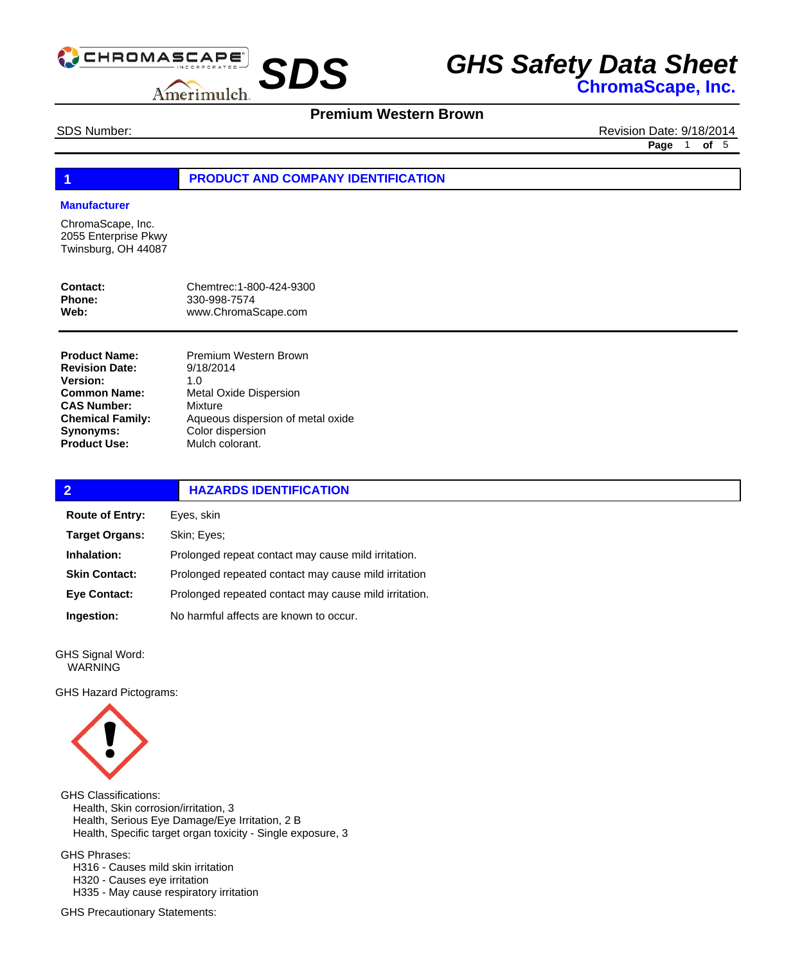

## **Premium Western Brown**

SDS Number: Revision Date: 9/18/2014 **Page** 1 **of** 5

#### **1 PRODUCT AND COMPANY IDENTIFICATION**

#### **Manufacturer**

ChromaScape, Inc. 2055 Enterprise Pkwy Twinsburg, OH 44087

| Contact: | Chemtrec: 1-800-424-9300 |
|----------|--------------------------|
| Phone:   | 330-998-7574             |
| Web:     | www.ChromaScape.com      |

**Product Name: Revision Date: Version: Common Name: CAS Number: Chemical Family: Synonyms: Product Use:**

Premium Western Brown 9/18/2014 1.0 Metal Oxide Dispersion Mixture Aqueous dispersion of metal oxide Color dispersion Mulch colorant.

| $\overline{2}$         | <b>HAZARDS IDENTIFICATION</b>                         |  |
|------------------------|-------------------------------------------------------|--|
| <b>Route of Entry:</b> | Eyes, skin                                            |  |
| <b>Target Organs:</b>  | Skin; Eyes;                                           |  |
| Inhalation:            | Prolonged repeat contact may cause mild irritation.   |  |
| <b>Skin Contact:</b>   | Prolonged repeated contact may cause mild irritation  |  |
| <b>Eye Contact:</b>    | Prolonged repeated contact may cause mild irritation. |  |
| Ingestion:             | No harmful affects are known to occur.                |  |

GHS Signal Word: WARNING

GHS Hazard Pictograms:



GHS Classifications: Health, Skin corrosion/irritation, 3 Health, Serious Eye Damage/Eye Irritation, 2 B Health, Specific target organ toxicity - Single exposure, 3 GHS Phrases:

 H316 - Causes mild skin irritation H320 - Causes eye irritation H335 - May cause respiratory irritation

GHS Precautionary Statements: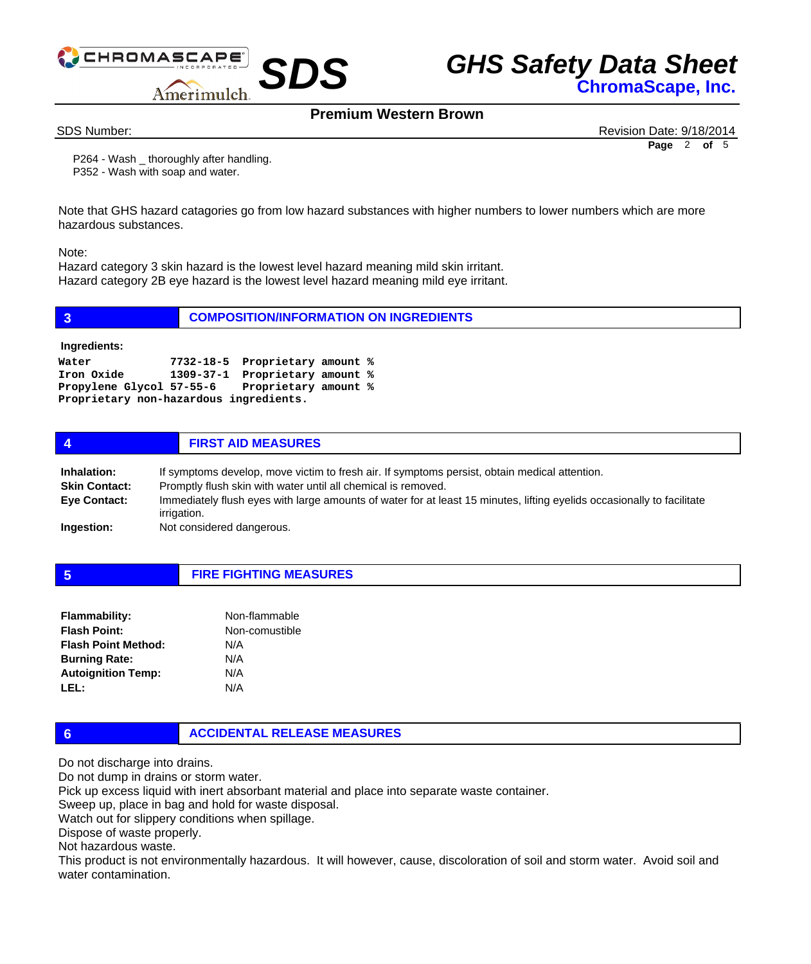

**Premium Western Brown**

SDS Number: Revision Date: 9/18/2014 **Page** 2 **of** 5

 P264 - Wash \_ thoroughly after handling. P352 - Wash with soap and water.

Note that GHS hazard catagories go from low hazard substances with higher numbers to lower numbers which are more hazardous substances.

Note:

Hazard category 3 skin hazard is the lowest level hazard meaning mild skin irritant. Hazard category 2B eye hazard is the lowest level hazard meaning mild eye irritant.

| $\overline{3}$                                                | <b>COMPOSITION/INFORMATION ON INGREDIENTS</b>                                                                     |
|---------------------------------------------------------------|-------------------------------------------------------------------------------------------------------------------|
| Ingredients:                                                  |                                                                                                                   |
| Water<br>Iron Oxide<br>Proprietary non-hazardous ingredients. | 7732-18-5 Proprietary amount %<br>1309-37-1 Proprietary amount %<br>Propylene Glycol 57-55-6 Proprietary amount % |
| 4                                                             | <b>FIRST AID MEASURES</b>                                                                                         |

| Inhalation:          | If symptoms develop, move victim to fresh air. If symptoms persist, obtain medical attention.                                         |
|----------------------|---------------------------------------------------------------------------------------------------------------------------------------|
| <b>Skin Contact:</b> | Promptly flush skin with water until all chemical is removed.                                                                         |
| <b>Eye Contact:</b>  | Immediately flush eyes with large amounts of water for at least 15 minutes, lifting eyelids occasionally to facilitate<br>irrigation. |
| Ingestion:           | Not considered dangerous.                                                                                                             |

**5 FIRE FIGHTING MEASURES**

| <b>Flammability:</b>       | Non-flammable  |
|----------------------------|----------------|
| <b>Flash Point:</b>        | Non-comustible |
| <b>Flash Point Method:</b> | N/A            |
| <b>Burning Rate:</b>       | N/A            |
| <b>Autoignition Temp:</b>  | N/A            |
| LEL:                       | N/A            |

### **6 ACCIDENTAL RELEASE MEASURES**

Do not discharge into drains.

Do not dump in drains or storm water.

Pick up excess liquid with inert absorbant material and place into separate waste container.

Sweep up, place in bag and hold for waste disposal.

Watch out for slippery conditions when spillage.

Dispose of waste properly.

Not hazardous waste.

This product is not environmentally hazardous. It will however, cause, discoloration of soil and storm water. Avoid soil and water contamination.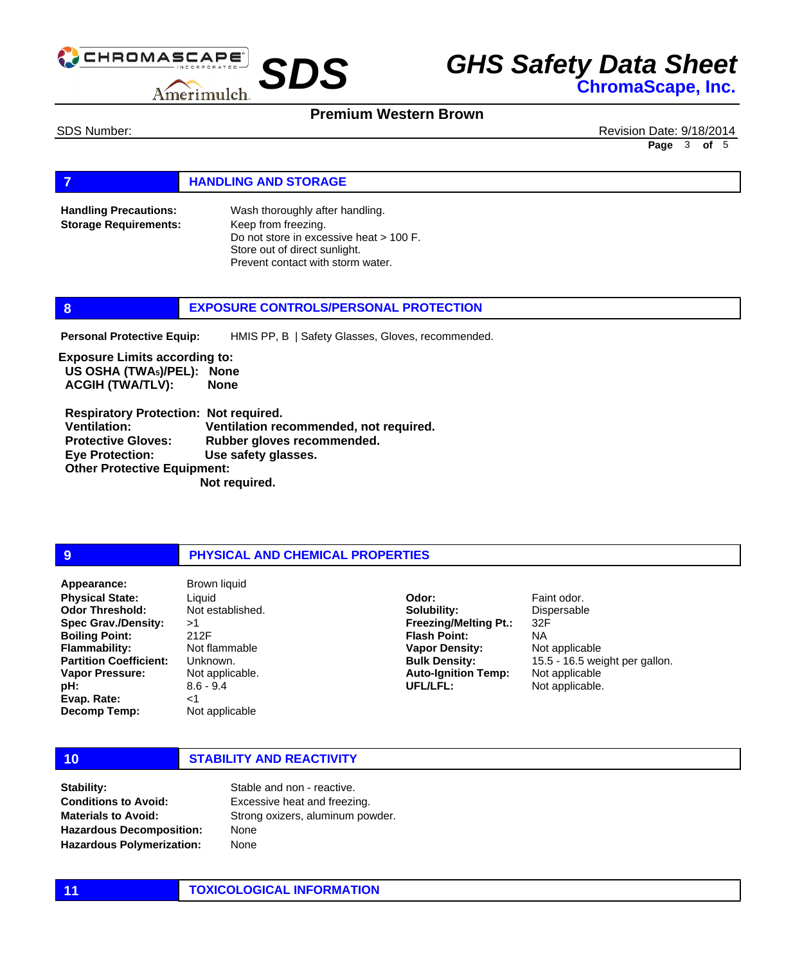

### **Premium Western Brown**

SDS Number: Revision Date: 9/18/2014 **Page** 3 **of** 5

#### **FIGURE 12 IN STORAGE**

Wash thoroughly after handling. Keep from freezing. Do not store in excessive heat > 100 F. Store out of direct sunlight. Prevent contact with storm water. **Handling Precautions: Storage Requirements:**

#### **8 EXPOSURE CONTROLS/PERSONAL PROTECTION**

HMIS PP, B | Safety Glasses, Gloves, recommended. **Personal Protective Equip:**

**Exposure Limits according to: US OSHA (TWA5)/PEL): None ACGIH (TWA/TLV): None** 

 **Respiratory Protection: Not required. Ventilation: Ventilation recommended, not required. Protective Gloves: Rubber gloves recommended. Eye Protection: Use safety glasses. Other Protective Equipment: Not required.** 

#### **9 PHYSICAL AND CHEMICAL PROPERTIES**

**Physical State: Odor Threshold: Spec Grav./Density: Boiling Point: Flammability: Partition Coefficient: Vapor Pressure: pH: Evap. Rate: Decomp Temp: Appearance:** Brown liquid

Liquid Not established. >1 212F Not flammable Unknown. Not applicable. 8.6 - 9.4 <1 Not applicable

**Solubility: Freezing/Melting Pt.: Flash Point: Vapor Density: Bulk Density: Auto-Ignition Temp: UFL/LFL:**

**Odor:**

Faint odor. Dispersable 32F NA Not applicable 15.5 - 16.5 weight per gallon. Not applicable Not applicable.

### **10 STABILITY AND REACTIVITY**

**Stability: Conditions to Avoid: Materials to Avoid: Hazardous Decomposition: Hazardous Polymerization:**

Stable and non - reactive. Excessive heat and freezing. Strong oxizers, aluminum powder. None None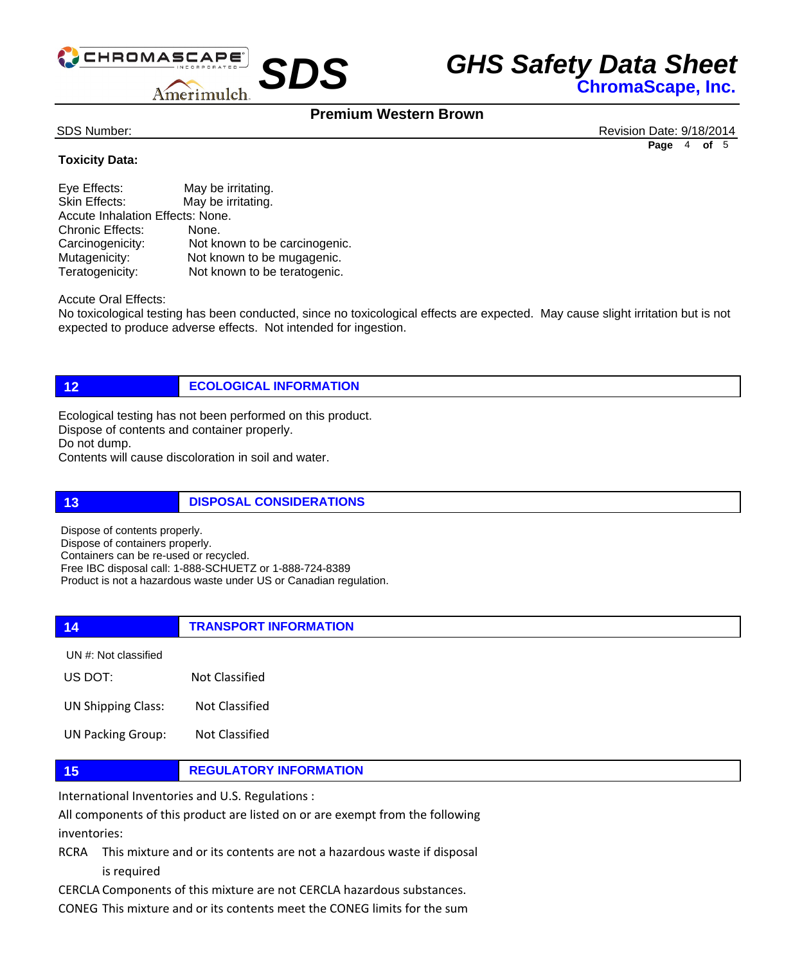

## **Premium Western Brown**

SDS Number: Revision Date: 9/18/2014 **Page** 4 **of** 5

### **Toxicity Data:**

| Eye Effects:                     | May be irritating.            |  |
|----------------------------------|-------------------------------|--|
| Skin Effects:                    | May be irritating.            |  |
| Accute Inhalation Effects: None. |                               |  |
| <b>Chronic Effects:</b>          | None.                         |  |
| Carcinogenicity:                 | Not known to be carcinogenic. |  |
| Mutagenicity:                    | Not known to be mugagenic.    |  |
| Teratogenicity:                  | Not known to be teratogenic.  |  |

Accute Oral Effects:

No toxicological testing has been conducted, since no toxicological effects are expected. May cause slight irritation but is not expected to produce adverse effects. Not intended for ingestion.

**12 ECOLOGICAL INFORMATION** 

Ecological testing has not been performed on this product. Dispose of contents and container properly. Do not dump. Contents will cause discoloration in soil and water.

**13 DISPOSAL CONSIDERATIONS** 

Dispose of contents properly. Dispose of containers properly. Containers can be re-used or recycled. Free IBC disposal call: 1-888-SCHUETZ or 1-888-724-8389 Product is not a hazardous waste under US or Canadian regulation.

**14 TRANSPORT INFORMATION** US DOT: Not Classified UN #: Not classified

UN Shipping Class: Not Classified

UN Packing Group: Not Classified

### **15 REGULATORY INFORMATION**

International Inventories and U.S. Regulations :

All components of this product are listed on or are exempt from the following inventories:

RCRA This mixture and or its contents are not a hazardous waste if disposal is required

CERCLA Components of this mixture are not CERCLA hazardous substances.

CONEG This mixture and or its contents meet the CONEG limits for the sum